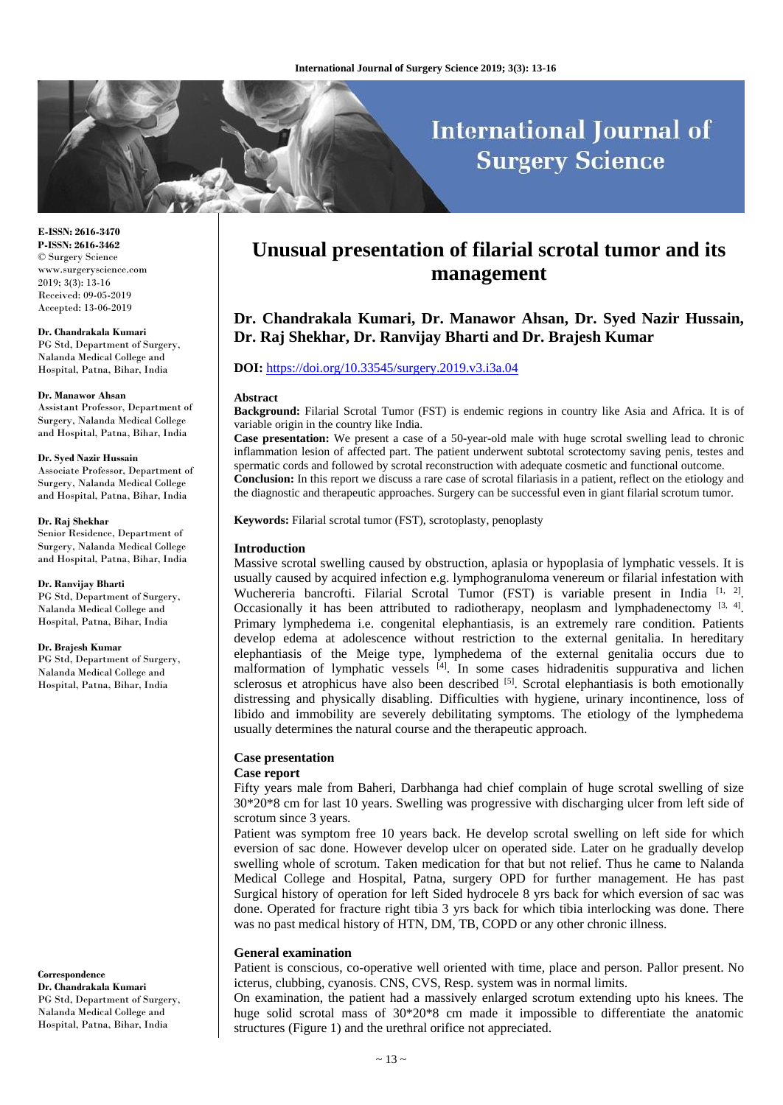# **International Journal of Surgery Science**

**E-ISSN: 2616-3470 P-ISSN: 2616-3462** © Surgery Science www.surgeryscience.com 2019; 3(3): 13-16 Received: 09-05-2019 Accepted: 13-06-2019

#### **Dr. Chandrakala Kumari**

PG Std, Department of Surgery, Nalanda Medical College and Hospital, Patna, Bihar, India

#### **Dr. Manawor Ahsan**

Assistant Professor, Department of Surgery, Nalanda Medical College and Hospital, Patna, Bihar, India

#### **Dr. Syed Nazir Hussain**

Associate Professor, Department of Surgery, Nalanda Medical College and Hospital, Patna, Bihar, India

#### **Dr. Raj Shekhar**

Senior Residence, Department of Surgery, Nalanda Medical College and Hospital, Patna, Bihar, India

#### **Dr. Ranvijay Bharti**

PG Std, Department of Surgery, Nalanda Medical College and Hospital, Patna, Bihar, India

#### **Dr. Brajesh Kumar**

PG Std, Department of Surgery, Nalanda Medical College and Hospital, Patna, Bihar, India

#### **Correspondence**

**Dr. Chandrakala Kumari** PG Std, Department of Surgery, Nalanda Medical College and Hospital, Patna, Bihar, India

## **Unusual presentation of filarial scrotal tumor and its management**

## **Dr. Chandrakala Kumari, Dr. Manawor Ahsan, Dr. Syed Nazir Hussain, Dr. Raj Shekhar, Dr. Ranvijay Bharti and Dr. Brajesh Kumar**

## **DOI:** <https://doi.org/10.33545/surgery.2019.v3.i3a.04>

#### **Abstract**

**Background:** Filarial Scrotal Tumor (FST) is endemic regions in country like Asia and Africa. It is of variable origin in the country like India.

**Case presentation:** We present a case of a 50-year-old male with huge scrotal swelling lead to chronic inflammation lesion of affected part. The patient underwent subtotal scrotectomy saving penis, testes and spermatic cords and followed by scrotal reconstruction with adequate cosmetic and functional outcome. **Conclusion:** In this report we discuss a rare case of scrotal filariasis in a patient, reflect on the etiology and the diagnostic and therapeutic approaches. Surgery can be successful even in giant filarial scrotum tumor.

**Keywords:** Filarial scrotal tumor (FST), scrotoplasty, penoplasty

#### **Introduction**

Massive scrotal swelling caused by obstruction, aplasia or hypoplasia of lymphatic vessels. It is usually caused by acquired infection e.g. lymphogranuloma venereum or filarial infestation with Wuchereria bancrofti. Filarial Scrotal Tumor (FST) is variable present in India  $[1, 2]$ . Occasionally it has been attributed to radiotherapy, neoplasm and lymphadenectomy  $[3, 4]$ . Primary lymphedema i.e. congenital elephantiasis, is an extremely rare condition. Patients develop edema at adolescence without restriction to the external genitalia. In hereditary elephantiasis of the Meige type, lymphedema of the external genitalia occurs due to malformation of lymphatic vessels  $[4]$ . In some cases hidradenitis suppurativa and lichen sclerosus et atrophicus have also been described  $[5]$ . Scrotal elephantiasis is both emotionally distressing and physically disabling. Difficulties with hygiene, urinary incontinence, loss of libido and immobility are severely debilitating symptoms. The etiology of the lymphedema usually determines the natural course and the therapeutic approach.

## **Case presentation**

## **Case report**

Fifty years male from Baheri, Darbhanga had chief complain of huge scrotal swelling of size 30\*20\*8 cm for last 10 years. Swelling was progressive with discharging ulcer from left side of scrotum since 3 years.

Patient was symptom free 10 years back. He develop scrotal swelling on left side for which eversion of sac done. However develop ulcer on operated side. Later on he gradually develop swelling whole of scrotum. Taken medication for that but not relief. Thus he came to Nalanda Medical College and Hospital, Patna, surgery OPD for further management. He has past Surgical history of operation for left Sided hydrocele 8 yrs back for which eversion of sac was done. Operated for fracture right tibia 3 yrs back for which tibia interlocking was done. There was no past medical history of HTN, DM, TB, COPD or any other chronic illness.

#### **General examination**

Patient is conscious, co-operative well oriented with time, place and person. Pallor present. No icterus, clubbing, cyanosis. CNS, CVS, Resp. system was in normal limits.

On examination, the patient had a massively enlarged scrotum extending upto his knees. The huge solid scrotal mass of  $30*20*8$  cm made it impossible to differentiate the anatomic structures (Figure 1) and the urethral orifice not appreciated.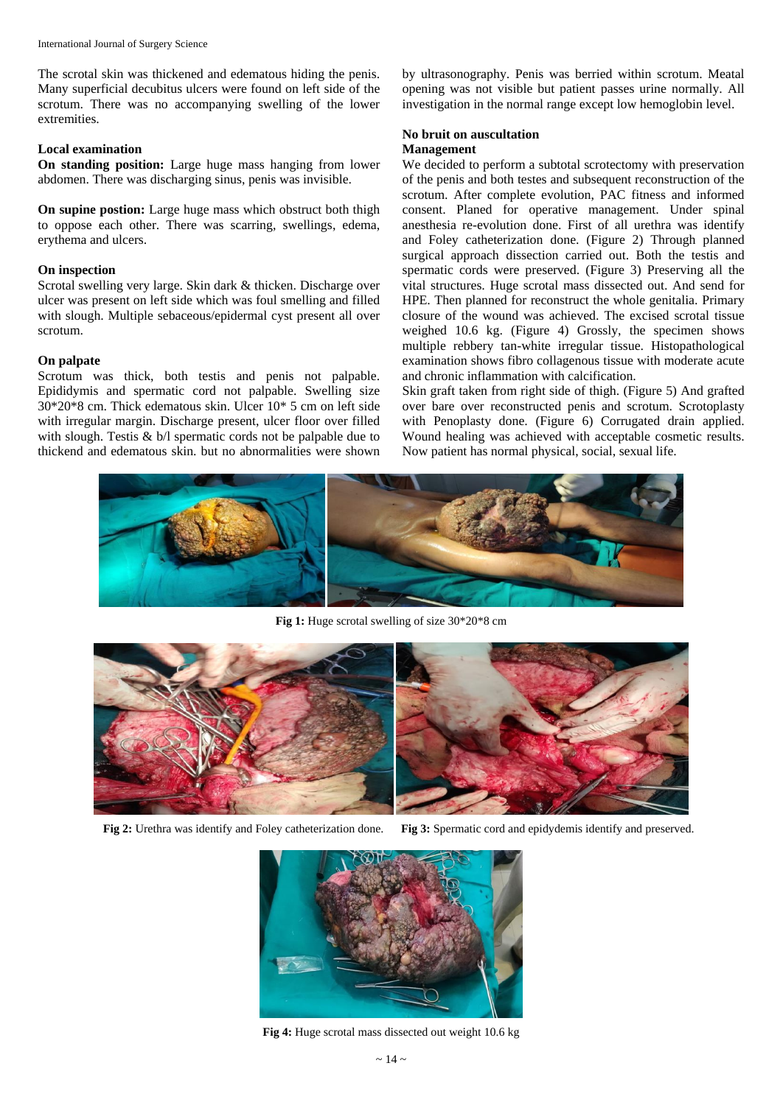The scrotal skin was thickened and edematous hiding the penis. Many superficial decubitus ulcers were found on left side of the scrotum. There was no accompanying swelling of the lower extremities.

## **Local examination**

**On standing position:** Large huge mass hanging from lower abdomen. There was discharging sinus, penis was invisible.

**On supine postion:** Large huge mass which obstruct both thigh to oppose each other. There was scarring, swellings, edema, erythema and ulcers.

### **On inspection**

Scrotal swelling very large. Skin dark & thicken. Discharge over ulcer was present on left side which was foul smelling and filled with slough. Multiple sebaceous/epidermal cyst present all over scrotum.

#### **On palpate**

Scrotum was thick, both testis and penis not palpable. Epididymis and spermatic cord not palpable. Swelling size 30\*20\*8 cm. Thick edematous skin. Ulcer 10\* 5 cm on left side with irregular margin. Discharge present, ulcer floor over filled with slough. Testis & b/l spermatic cords not be palpable due to thickend and edematous skin. but no abnormalities were shown

by ultrasonography. Penis was berried within scrotum. Meatal opening was not visible but patient passes urine normally. All investigation in the normal range except low hemoglobin level.

#### **No bruit on auscultation Management**

We decided to perform a subtotal scrotectomy with preservation of the penis and both testes and subsequent reconstruction of the scrotum. After complete evolution, PAC fitness and informed consent. Planed for operative management. Under spinal anesthesia re-evolution done. First of all urethra was identify and Foley catheterization done. (Figure 2) Through planned surgical approach dissection carried out. Both the testis and spermatic cords were preserved. (Figure 3) Preserving all the vital structures. Huge scrotal mass dissected out. And send for HPE. Then planned for reconstruct the whole genitalia. Primary closure of the wound was achieved. The excised scrotal tissue weighed 10.6 kg. (Figure 4) Grossly, the specimen shows multiple rebbery tan-white irregular tissue. Histopathological examination shows fibro collagenous tissue with moderate acute and chronic inflammation with calcification.

Skin graft taken from right side of thigh. (Figure 5) And grafted over bare over reconstructed penis and scrotum. Scrotoplasty with Penoplasty done. (Figure 6) Corrugated drain applied. Wound healing was achieved with acceptable cosmetic results. Now patient has normal physical, social, sexual life.



**Fig 1:** Huge scrotal swelling of size 30\*20\*8 cm



**Fig 2:** Urethra was identify and Foley catheterization done. **Fig 3:** Spermatic cord and epidydemis identify and preserved.



**Fig 4:** Huge scrotal mass dissected out weight 10.6 kg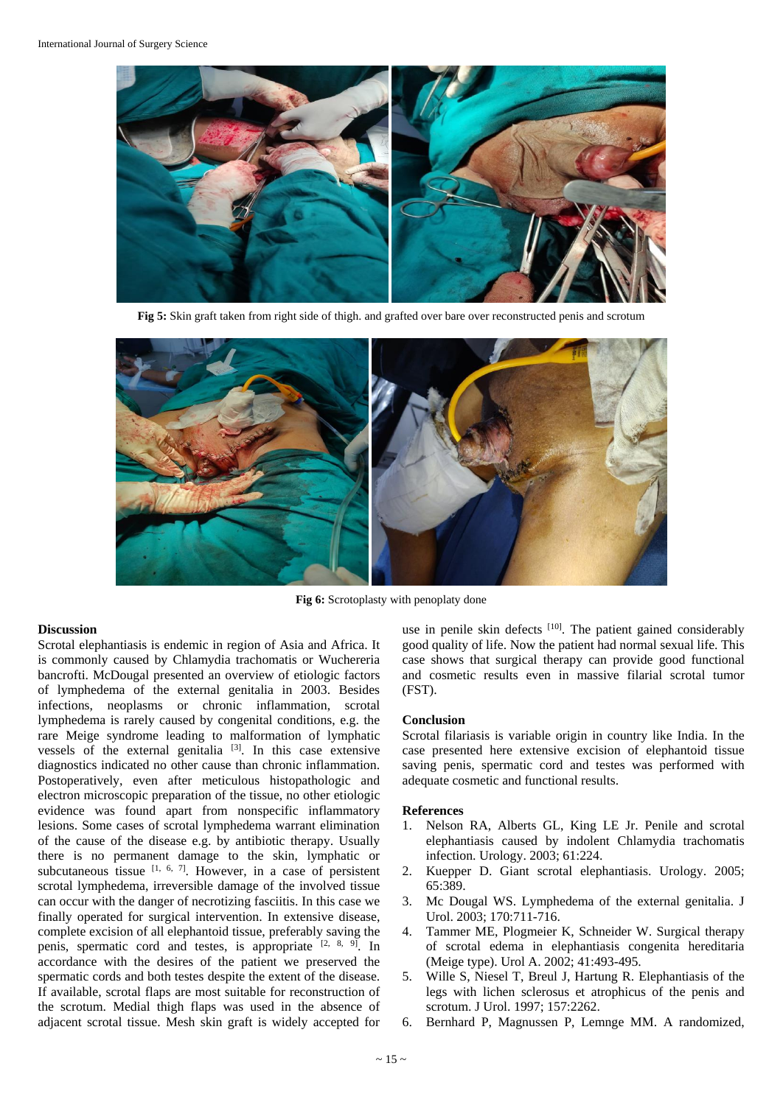

**Fig 5:** Skin graft taken from right side of thigh. and grafted over bare over reconstructed penis and scrotum



**Fig 6:** Scrotoplasty with penoplaty done

#### **Discussion**

Scrotal elephantiasis is endemic in region of Asia and Africa. It is commonly caused by Chlamydia trachomatis or Wuchereria bancrofti. McDougal presented an overview of etiologic factors of lymphedema of the external genitalia in 2003. Besides infections, neoplasms or chronic inflammation, scrotal lymphedema is rarely caused by congenital conditions, e.g. the rare Meige syndrome leading to malformation of lymphatic vessels of the external genitalia  $[3]$ . In this case extensive diagnostics indicated no other cause than chronic inflammation. Postoperatively, even after meticulous histopathologic and electron microscopic preparation of the tissue, no other etiologic evidence was found apart from nonspecific inflammatory lesions. Some cases of scrotal lymphedema warrant elimination of the cause of the disease e.g. by antibiotic therapy. Usually there is no permanent damage to the skin, lymphatic or subcutaneous tissue  $[1, 6, 7]$ . However, in a case of persistent scrotal lymphedema, irreversible damage of the involved tissue can occur with the danger of necrotizing fasciitis. In this case we finally operated for surgical intervention. In extensive disease, complete excision of all elephantoid tissue, preferably saving the penis, spermatic cord and testes, is appropriate  $[2, 8, 9]$ . In accordance with the desires of the patient we preserved the spermatic cords and both testes despite the extent of the disease. If available, scrotal flaps are most suitable for reconstruction of the scrotum. Medial thigh flaps was used in the absence of adjacent scrotal tissue. Mesh skin graft is widely accepted for

use in penile skin defects [10]. The patient gained considerably good quality of life. Now the patient had normal sexual life. This case shows that surgical therapy can provide good functional and cosmetic results even in massive filarial scrotal tumor (FST).

#### **Conclusion**

Scrotal filariasis is variable origin in country like India. In the case presented here extensive excision of elephantoid tissue saving penis, spermatic cord and testes was performed with adequate cosmetic and functional results.

#### **References**

- 1. Nelson RA, Alberts GL, King LE Jr. Penile and scrotal elephantiasis caused by indolent Chlamydia trachomatis infection. Urology. 2003; 61:224.
- 2. Kuepper D. Giant scrotal elephantiasis. Urology. 2005; 65:389.
- 3. Mc Dougal WS. Lymphedema of the external genitalia. J Urol. 2003; 170:711-716.
- 4. Tammer ME, Plogmeier K, Schneider W. Surgical therapy of scrotal edema in elephantiasis congenita hereditaria (Meige type). Urol A. 2002; 41:493-495.
- 5. Wille S, Niesel T, Breul J, Hartung R. Elephantiasis of the legs with lichen sclerosus et atrophicus of the penis and scrotum. J Urol. 1997; 157:2262.
- 6. Bernhard P, Magnussen P, Lemnge MM. A randomized,